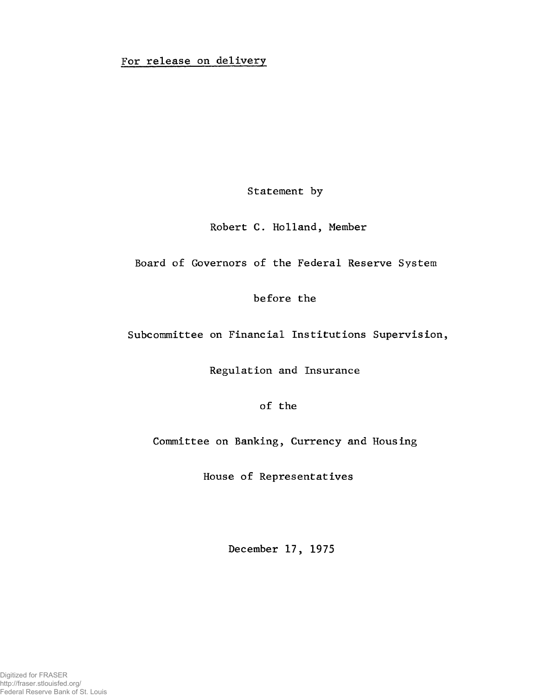## For release on delivery

Statement by

Robert C. Holland, Member

Board of Governors of the Federal Reserve System

before the

Subcommittee on Financial Institutions Supervision,

Regulation and Insurance

of the

Committee on Banking, Currency and Housing

House of Representatives

December 17, 1975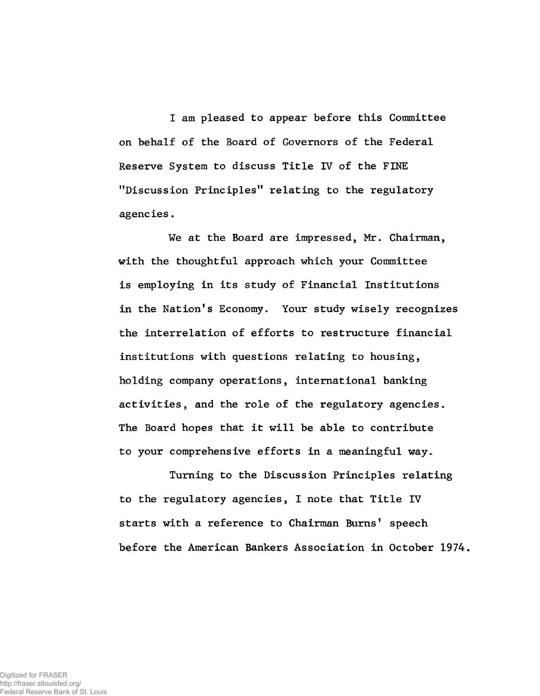I am pleased to appear before this Committee on behalf of the Board of Governors of the Federal Reserve System to discuss Title IV of the FINE ''Discussion Principles" relating to the regulatory agencies.

We at the Board are impressed, Mr. Chairman, with the thoughtful approach which your Committee is employing in its study of Financial Institutions in the Nation's Economy. Your study wisely recognizes the interrelation of efforts to restructure financial institutions with questions relating to housing, holding company operations, international banking activities, and the role of the regulatory agencies. The Board hopes that it will be able to contribute to your comprehensive efforts in a meaningful way.

Turning to the Discussion Principles relating to the regulatory agencies, I note that Title IV starts with a reference to Chairman Burns' speech before the American Bankers Association in October 1974.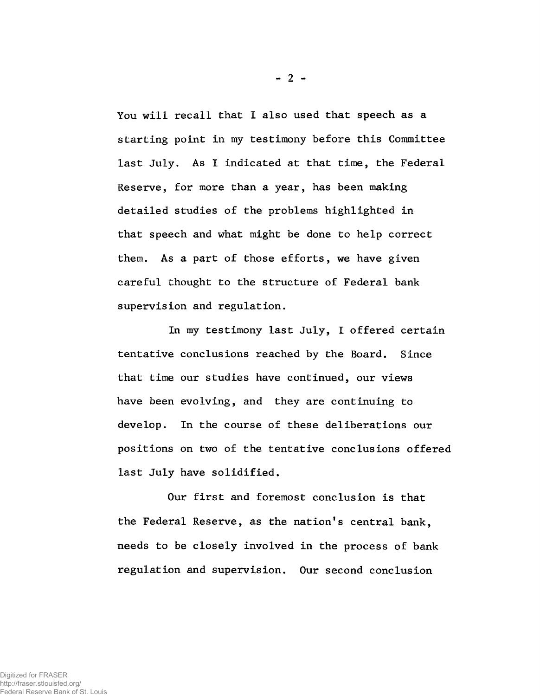You will recall that I also used that speech as a starting point in my testimony before this Committee last July. As I indicated at that time, the Federal Reserve, for more than a year, has been making detailed studies of the problems highlighted in that speech and what might be done to help correct them. As a part of those efforts, we have given careful thought to the structure of Federal bank supervision and regulation.

In my testimony last July, I offered certain tentative conclusions reached by the Board. Since that time our studies have continued, our views have been evolving, and they are continuing to develop. In the course of these deliberations our positions on two of the tentative conclusions offered last July have solidified.

Our first and foremost conclusion is that the Federal Reserve, as the nation's central bank, needs to be closely involved in the process of bank regulation and supervision. Our second conclusion

 $-2 -$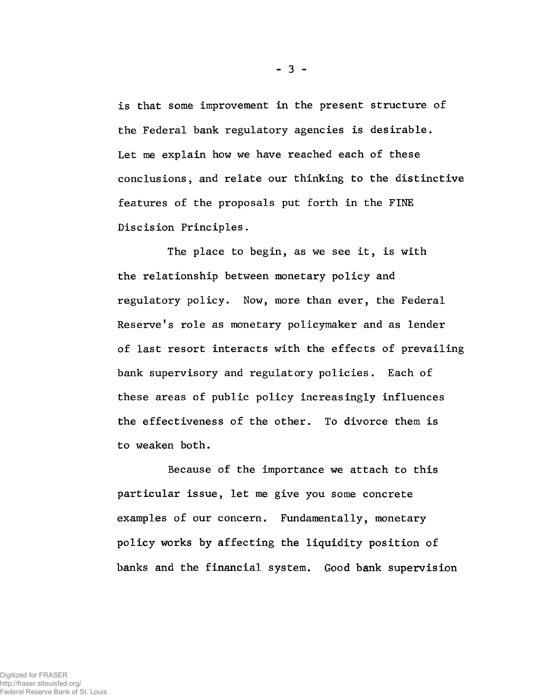is that some improvement in the present structure of the Federal bank regulatory agencies is desirable. Let me explain how we have reached each of these conclusions, and relate our thinking to the distinctive features of the proposals put forth in the FINE Discision Principles.

The place to begin, as we see it, is with the relationship between monetary policy and regulatory policy. Now, more than ever, the Federal Reserve's role as monetary policymaker and as lender of last resort interacts with the effects of prevailing bank supervisory and regulatory policies. Each of these areas of public policy increasingly influences the effectiveness of the other. To divorce them is to weaken both.

Because of the importance we attach to this particular issue, let me give you some concrete examples of our concern. Fundamentally, monetary policy works by affecting the liquidity position of banks and the financial system. Good bank supervision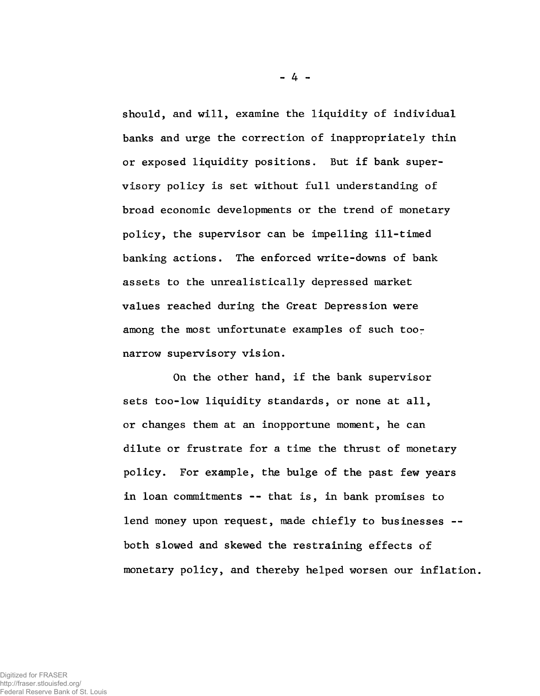should, and will, examine the liquidity of individual banks and urge the correction of inappropriately thin or exposed liquidity positions. But if bank supervisory policy is set without full understanding of broad economic developments or the trend of monetary policy, the supervisor can be impelling ill-timed banking actions. The enforced write-downs of bank assets to the unrealistically depressed market values reached during the Great Depression were among the most unfortunate examples of such toonarrow supervisory vision.

On the other hand, if the bank supervisor sets too-low liquidity standards, or none at all, or changes them at an inopportune moment, he can dilute or frustrate for a time the thrust of monetary policy. For example, the bulge of the past few years in loan commitments -- that is, in bank promises to lend money upon request, made chiefly to businesses -both slowed and skewed the restraining effects of monetary policy, and thereby helped worsen our inflation.

 $-4 -$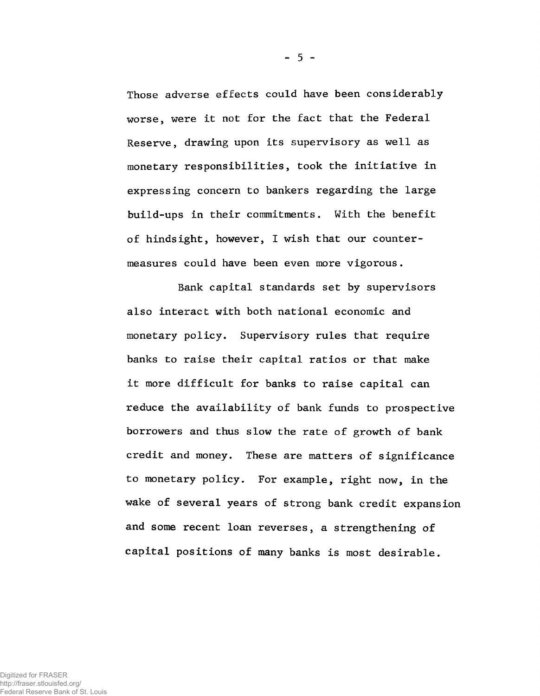Those adverse effects could have been considerably worse, were it not for the fact that the Federal Reserve, drawing upon its supervisory as well as monetary responsibilities, took the initiative in expressing concern to bankers regarding the large build-ups in their commitments. With the benefit of hindsight, however, I wish that our countermeasures could have been even more vigorous.

Bank capital standards set by supervisors also interact with both national economic and monetary policy. Supervisory rules that require banks to raise their capital ratios or that make it more difficult for banks to raise capital can reduce the availability of bank funds to prospective borrowers and thus slow the rate of growth of bank credit and money. These are matters of significance to monetary policy. For example, right now, in the wake of several years of strong bank credit expansion and some recent loan reverses, a strengthening of capital positions of many banks is most desirable.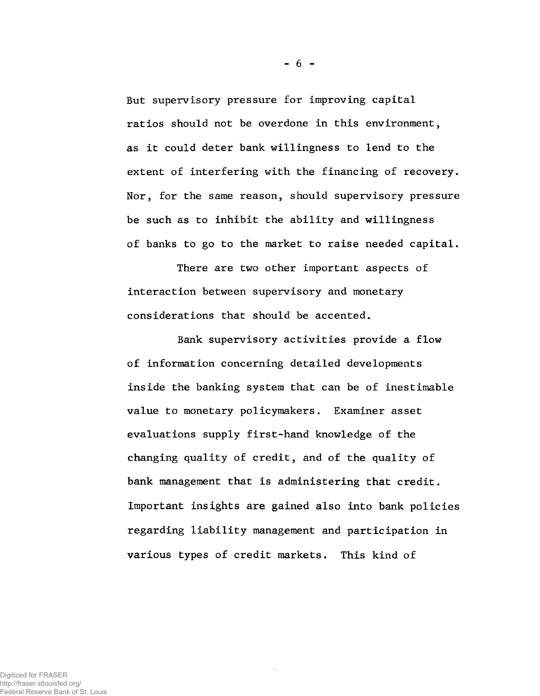But supervisory pressure for improving capital ratios should not be overdone in this environment, as it could deter bank willingness to lend to the extent of interfering with the financing of recovery. Nor, for the same reason, should supervisory pressure be such as to inhibit the ability and willingness of banks to go to the market to raise needed capital.

There are two other important aspects of interaction between supervisory and monetary considerations that should be accented.

Bank supervisory activities provide a flow of information concerning detailed developments inside the banking system that can be of inestimable value to monetary policymakers. Examiner asset evaluations supply first-hand knowledge of the changing quality of credit, and of the quality of bank management that is administering that credit. Important insights are gained also into bank policies regarding liability management and participation in various types of credit markets. This kind of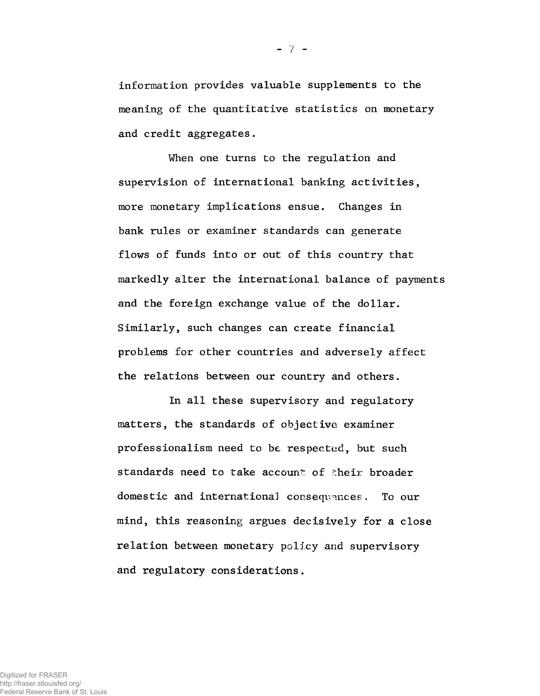information provides valuable supplements to the meaning of the quantitative statistics on monetary and credit aggregates.

When one turns to the regulation and supervision of international banking activities, more monetary implications ensue. Changes in bank rules or examiner standards can generate flows of funds into or out of this country that markedly alter the international balance of payments and the foreign exchange value of the dollar. Similarly, such changes can create financial problems for other countries and adversely affect the relations between our country and others.

In all these supervisory and regulatory matters, the standards of objective examiner professionalism need to be respected, but such standards need to take account of their broader domestic and international consequences. To our mind, this reasoning argues decisively for a close relation between monetary policy and supervisory and regulatory considerations.

 $-7 -$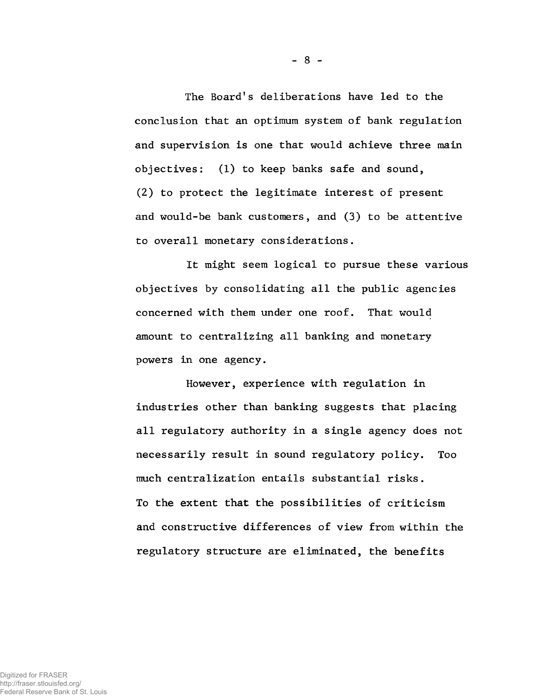The Board's deliberations have led to the conclusion that an optimum system of bank regulation and supervision is one that would achieve three main objectives: (1) to keep banks safe and sound, (2) to protect the legitimate interest of present and would-be bank customers, and (3) to be attentive to overall monetary considerations.

It might seem logical to pursue these various objectives by consolidating all the public agencies concerned with them under one roof. That would amount to centralizing all banking and monetary powers in one agency.

However, experience with regulation in industries other than banking suggests that placing all regulatory authority in a single agency does not necessarily result in sound regulatory policy. Too much centralization entails substantial risks. To the extent that the possibilities of criticism and constructive differences of view from within the regulatory structure are eliminated, the benefits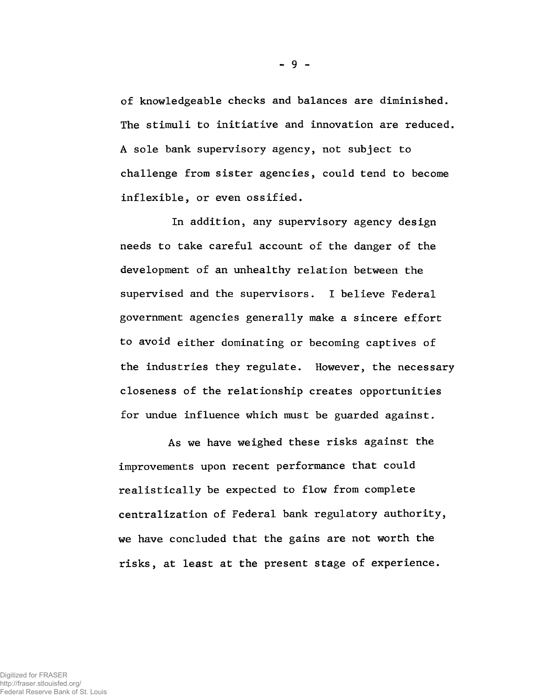of knowledgeable checks and balances are diminished. The stimuli to initiative and innovation are reduced. A sole bank supervisory agency, not subject to challenge from sister agencies, could tend to become inflexible, or even ossified.

In addition, any supervisory agency design needs to take careful account of the danger of the development of an unhealthy relation between the supervised and the supervisors. I believe Federal government agencies generally make a sincere effort to avoid either dominating or becoming captives of the industries they regulate. However, the necessary closeness of the relationship creates opportunities for undue influence which must be guarded against.

As we have weighed these risks against the improvements upon recent performance that could realistically be expected to flow from complete centralization of Federal bank regulatory authority, we have concluded that the gains are not worth the risks, at least at the present stage of experience.

 $-9 -$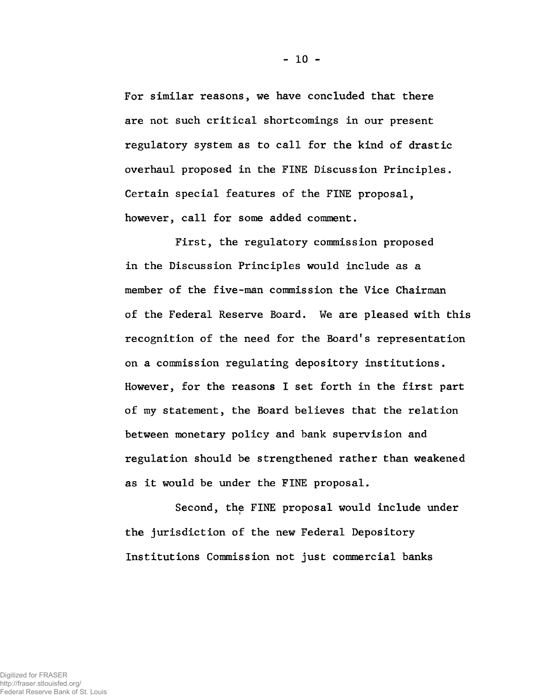For similar reasons, we have concluded that there are not such critical shortcomings in our present regulatory system as to call for the kind of drastic overhaul proposed in the FINE Discussion Principles. Certain special features of the FINE proposal, however, call for some added comment.

First, the regulatory commission proposed in the Discussion Principles would include as a member of the five-man commission the Vice Chairman of the Federal Reserve Board. We are pleased with this recognition of the need for the Board's representation on a commission regulating depository institutions. However, for the reasons I set forth in the first part of my statement, the Board believes that the relation between monetary policy and bank supervision and regulation should be strengthened rather than weakened as it would be under the FINE proposal.

Second, the FINE proposal would include under the jurisdiction of the new Federal Depository Institutions Commission not just commercial banks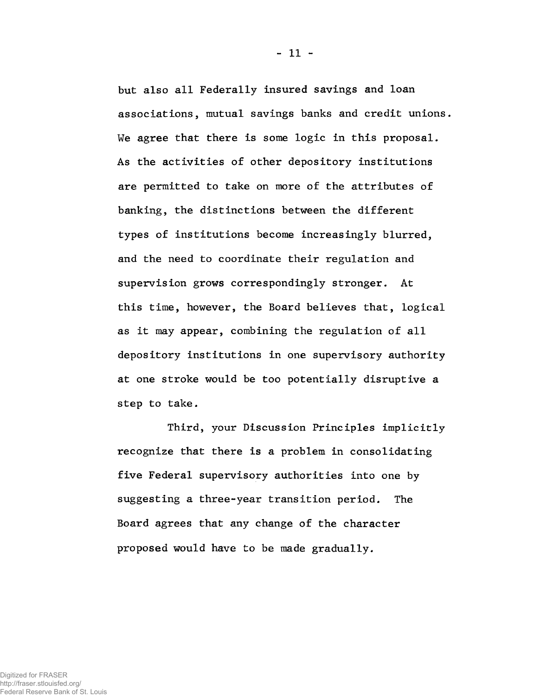but also all Federally insured savings and loan associations, mutual savings banks and credit unions. We agree that there is some logic in this proposal. As the activities of other depository institutions are permitted to take on more of the attributes of banking, the distinctions between the different types of institutions become increasingly blurred, and the need to coordinate their regulation and supervision grows correspondingly stronger. At this time, however, the Board believes that, logical as it may appear, combining the regulation of all depository institutions in one supervisory authority at one stroke would be too potentially disruptive a step to take.

Third, your Discussion Principles implicitly recognize that there is a problem in consolidating five Federal supervisory authorities into one by suggesting a three-year transition period. The Board agrees that any change of the character proposed would have to be made gradually.

- 11 -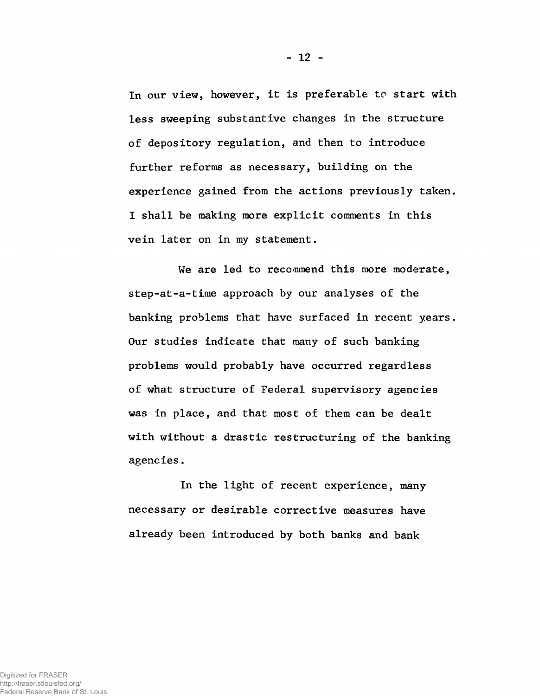In our view, however, it is preferable to start with less sweeping substantive changes in the structure of depository regulation, and then to introduce further reforms as necessary, building on the experience gained from the actions previously taken. I shall be making more explicit comments in this vein later on in my statement.

We are led to recommend this more moderate, step-at-a-time approach by our analyses of the banking problems that have surfaced in recent years. Our studies indicate that many of such banking problems would probably have occurred regardless of what structure of Federal supervisory agencies was in place, and that most of them can be dealt with without a drastic restructuring of the banking agencies.

In the light of recent experience, many necessary or desirable corrective measures have already been introduced by both banks and bank

Digitized for FRASER http://fraser.stlouisfed.org/ Federal Reserve Bank of St. Louis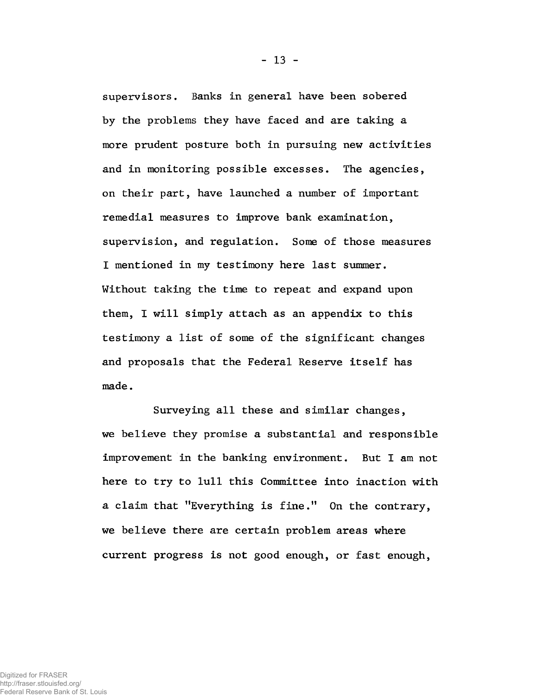supervisors. Banks in general have been sobered by the problems they have faced and are taking a more prudent posture both in pursuing new activities and in monitoring possible excesses. The agencies, on their part, have launched a number of important remedial measures to improve bank examination, supervision, and regulation. Some of those measures I mentioned in my testimony here last summer. Without taking the time to repeat and expand upon them, I will simply attach as an appendix to this testimony a list of some of the significant changes and proposals that the Federal Reserve itself has made.

Surveying all these and similar changes, we believe they promise a substantial and responsible improvement in the banking environment. But I am not here to try to lull this Committee into inaction with a claim that "Everything is fine." On the contrary, we believe there are certain problem areas where current progress is not good enough, or fast enough,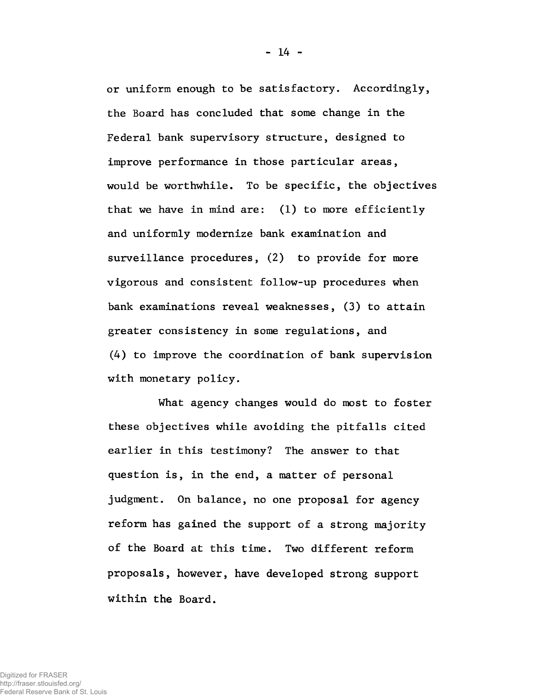or uniform enough to be satisfactory. Accordingly, the Board has concluded that some change in the Federal bank supervisory structure, designed to improve performance in those particular areas, would be worthwhile. To be specific, the objectives that we have in mind are: (1) to more efficiently and uniformly modernize bank examination and surveillance procedures, (2) to provide for more vigorous and consistent follow-up procedures when bank examinations reveal weaknesses, (3) to attain greater consistency in some regulations, and (4) to improve the coordination of bank supervision with monetary policy.

What agency changes would do most to foster these objectives while avoiding the pitfalls cited earlier in this testimony? The answer to that question is, in the end, a matter of personal judgment. On balance, no one proposal for agency reform has gained the support of a strong majority of the Board at this time. Two different reform proposals, however, have developed strong support within the Board.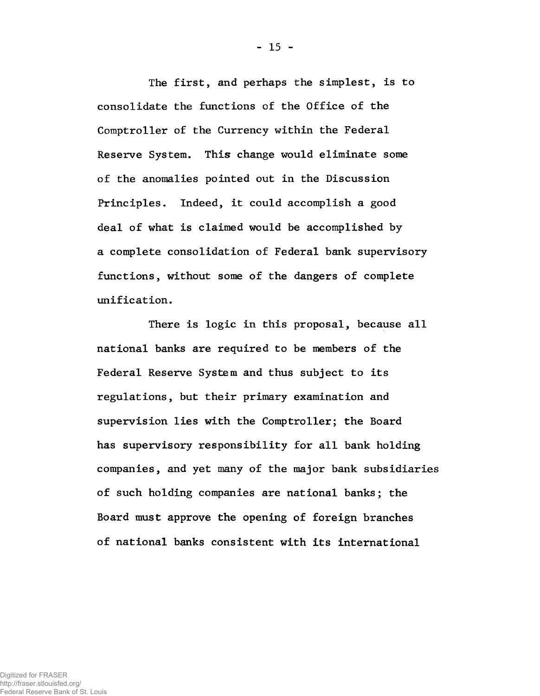The first, and perhaps the simplest, is to consolidate the functions of the Office of the Comptroller of the Currency within the Federal Reserve System. This change would eliminate some of the anomalies pointed out in the Discussion Principles. Indeed, it could accomplish a good deal of what is claimed would be accomplished by a complete consolidation of Federal bank supervisory functions, without some of the dangers of complete unification.

There is logic in this proposal, because all national banks are required to be members of the Federal Reserve System and thus subject to its regulations, but their primary examination and supervision lies with the Comptroller; the Board has supervisory responsibility for all bank holding companies, and yet many of the major bank subsidiaries of such holding companies are national banks; the Board must approve the opening of foreign branches of national banks consistent with its international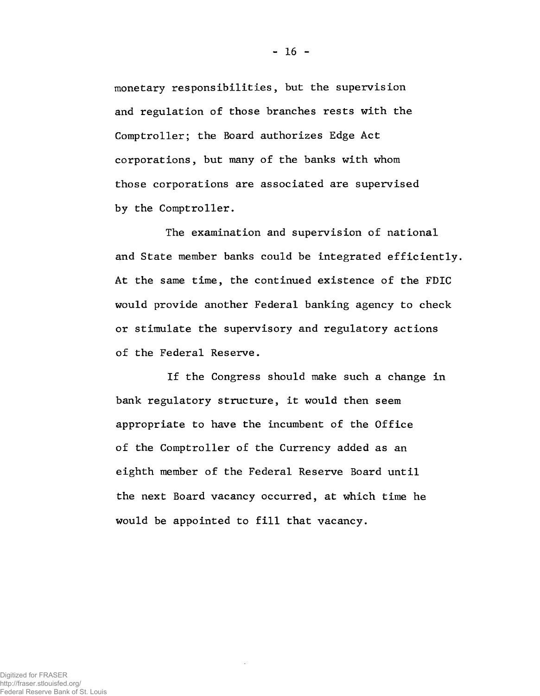monetary responsibilities, but the supervision and regulation of those branches rests with the Comptroller; the Board authorizes Edge Act corporations, but many of the banks with whom those corporations are associated are supervised by the Comptroller.

The examination and supervision of national and State member banks could be integrated efficiently. At the same time, the continued existence of the FDIC would provide another Federal banking agency to check or stimulate the supervisory and regulatory actions of the Federal Reserve.

If the Congress should make such a change in bank regulatory structure, it would then seem appropriate to have the incumbent of the Office of the Comptroller of the Currency added as an eighth member of the Federal Reserve Board until the next Board vacancy occurred, at which time he would be appointed to fill that vacancy.

- 16 -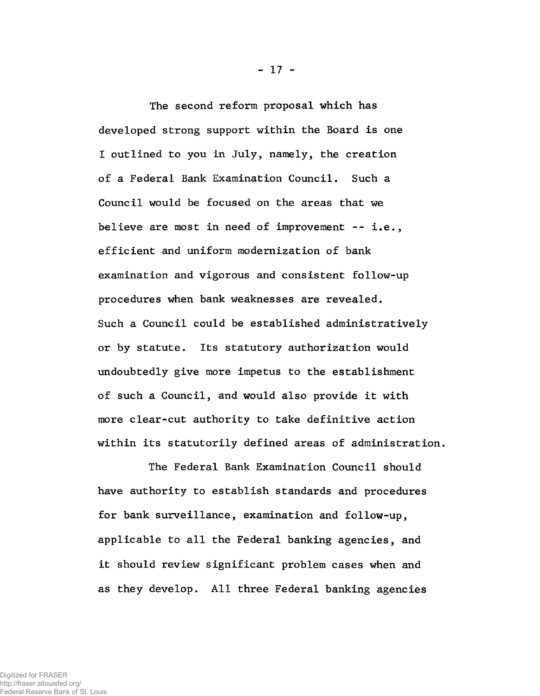The second reform proposal which has developed strong support within the Board is one I outlined to you in July, namely, the creation of a Federal Bank Examination Council. Such a Council would be focused on the areas that we believe are most in need of improvement -- i.e., efficient and uniform modernization of bank examination and vigorous and consistent follow-up procedures when bank weaknesses are revealed. Such a Council could be established administratively or by statute. Its statutory authorization would undoubtedly give more impetus to the establishment of such a Council, and would also provide it with more clear-cut authority to take definitive action within its statutorily defined areas of administration.

The Federal Bank Examination Council should have authority to establish standards and procedures for bank surveillance, examination and follow-up, applicable to all the Federal banking agencies, and it should review significant problem cases when and as they develop. All three Federal banking agencies

- 17 -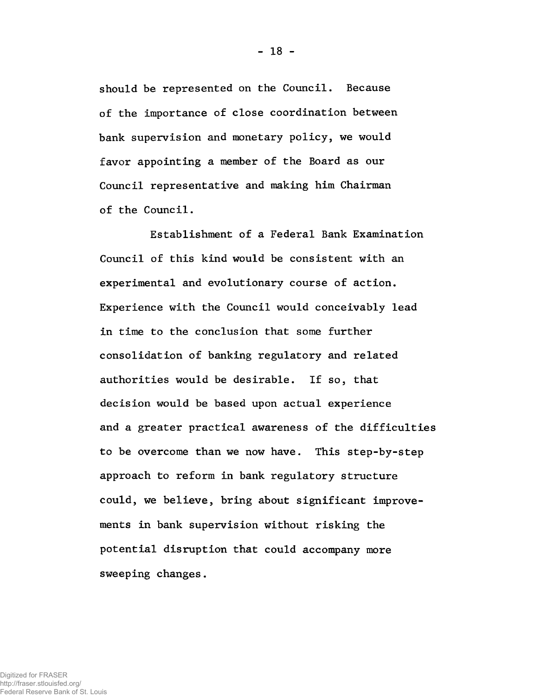should be represented on the Council. Because of the importance of close coordination between bank supervision and monetary policy, we would favor appointing a member of the Board as our Council representative and making him Chairman of the Council.

Establishment of a Federal Bank Examination Council of this kind would be consistent with an experimental and evolutionary course of action. Experience with the Council would conceivably lead in time to the conclusion that some further consolidation of banking regulatory and related authorities would be desirable. If so, that decision would be based upon actual experience and a greater practical awareness of the difficulties to be overcome than we now have. This step-by-step approach to reform in bank regulatory structure could, we believe, bring about significant improvements in bank supervision without risking the potential disruption that could accompany more sweeping changes.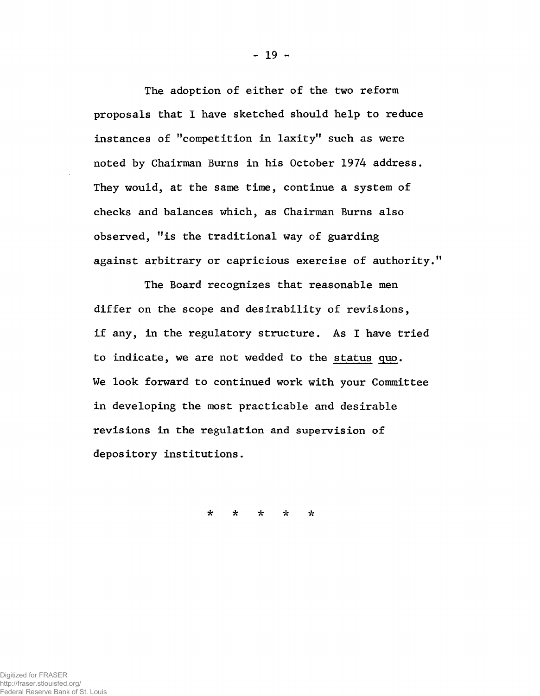The adoption of either of the two reform proposals that I have sketched should help to reduce instances of "competition in laxity" such as were noted by Chairman Burns in his October 1974 address. They would, at the same time, continue a system of checks and balances which, as Chairman Burns also observed, "is the traditional way of guarding against arbitrary or capricious exercise of authority."

The Board recognizes that reasonable men differ on the scope and desirability of revisions, if any, in the regulatory structure. As I have tried to indicate, we are not wedded to the status quo. We look forward to continued work with your Committee in developing the most practicable and desirable revisions in the regulation and supervision of depository institutions.

*& ic it*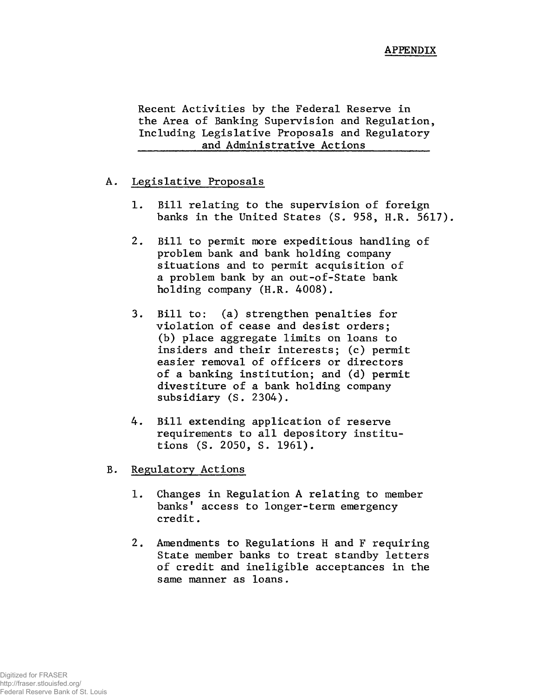Recent Activities by the Federal Reserve in the Area of Banking Supervision and Regulation, Including Legislative Proposals and Regulatory and Administrative Actions

## A. Legislative Proposals

- 1. Bill relating to the supervision of foreign banks in the United States (S. 958, H.R. 5617).
- 2. Bill to permit more expeditious handling of problem bank and bank holding company situations and to permit acquisition of a problem bank by an out-of-State bank holding company (H.R. 4008).
- 3. Bill to: (a) strengthen penalties for violation of cease and desist orders; (b) place aggregate limits on loans to insiders and their interests; (c) permit easier removal of officers or directors of a banking institution; and (d) permit divestiture of a bank holding company subsidiary (S. 2304).
- 4. Bill extending application of reserve requirements to all depository institutions (S. 2050, S. 1961).
- B. Regulatory Actions
	- 1. Changes in Regulation A relating to member banks' access to longer-term emergency credit.
	- 2. Amendments to Regulations H and F requiring State member banks to treat standby letters of credit and ineligible acceptances in the same manner as loans.